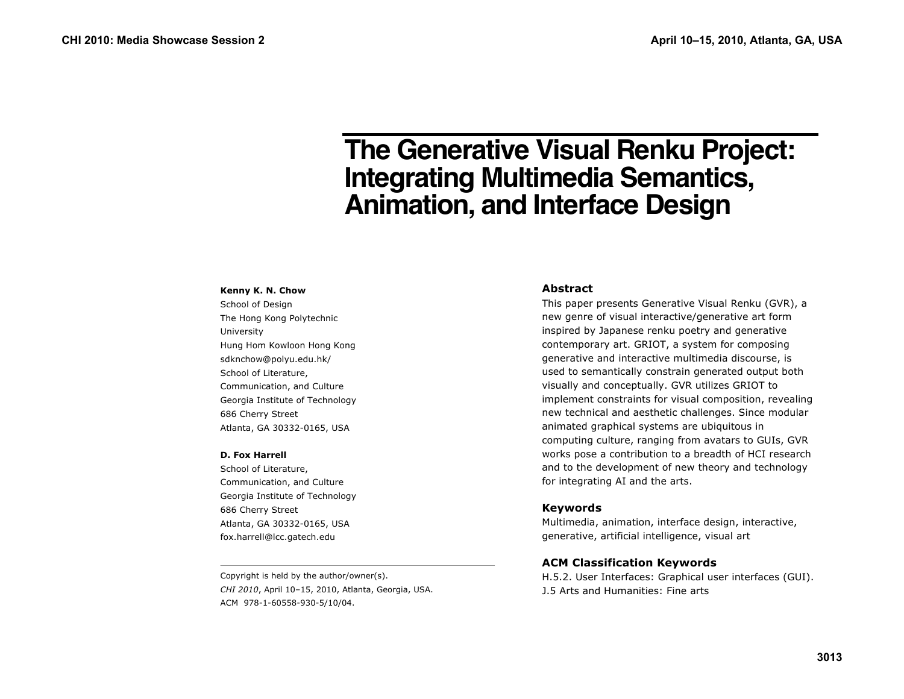# **The Generative Visual Renku Project: Integrating Multimedia Semantics, Animation, and Interface Design**

#### **Kenny K. N. Chow**

School of Design The Hong Kong Polytechnic University Hung Hom Kowloon Hong Kong sdknchow@polyu.edu.hk/ School of Literature, Communication, and Culture Georgia Institute of Technology 686 Cherry Street Atlanta, GA 30332-0165, USA

#### **D. Fox Harrell**

School of Literature, Communication, and Culture Georgia Institute of Technology 686 Cherry Street Atlanta, GA 30332-0165, USA fox.harrell@lcc.gatech.edu

Copyright is held by the author/owner(s). *CHI 2010*, April 10–15, 2010, Atlanta, Georgia, USA. ACM 978-1-60558-930-5/10/04.

## **Abstract**

This paper presents Generative Visual Renku (GVR), a new genre of visual interactive/generative art form inspired by Japanese renku poetry and generative contemporary art. GRIOT, a system for composing generative and interactive multimedia discourse, is used to semantically constrain generated output both visually and conceptually. GVR utilizes GRIOT to implement constraints for visual composition, revealing new technical and aesthetic challenges. Since modular animated graphical systems are ubiquitous in computing culture, ranging from avatars to GUIs, GVR works pose a contribution to a breadth of HCI research and to the development of new theory and technology for integrating AI and the arts.

## **Keywords**

Multimedia, animation, interface design, interactive, generative, artificial intelligence, visual art

# **ACM Classification Keywords**

H.5.2. User Interfaces: Graphical user interfaces (GUI). J.5 Arts and Humanities: Fine arts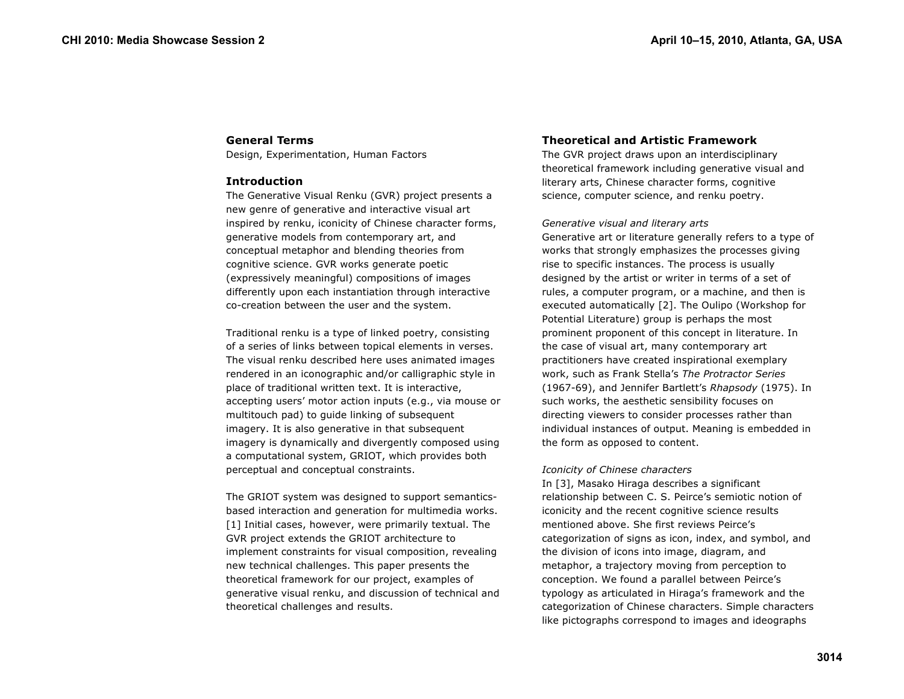# **General Terms**

Design, Experimentation, Human Factors

## **Introduction**

The Generative Visual Renku (GVR) project presents a new genre of generative and interactive visual art inspired by renku, iconicity of Chinese character forms, generative models from contemporary art, and conceptual metaphor and blending theories from cognitive science. GVR works generate poetic (expressively meaningful) compositions of images differently upon each instantiation through interactive co-creation between the user and the system.

Traditional renku is a type of linked poetry, consisting of a series of links between topical elements in verses. The visual renku described here uses animated images rendered in an iconographic and/or calligraphic style in place of traditional written text. It is interactive, accepting users' motor action inputs (e.g., via mouse or multitouch pad) to guide linking of subsequent imagery. It is also generative in that subsequent imagery is dynamically and divergently composed using a computational system, GRIOT, which provides both perceptual and conceptual constraints.

The GRIOT system was designed to support semanticsbased interaction and generation for multimedia works. [1] Initial cases, however, were primarily textual. The GVR project extends the GRIOT architecture to implement constraints for visual composition, revealing new technical challenges. This paper presents the theoretical framework for our project, examples of generative visual renku, and discussion of technical and theoretical challenges and results.

# **Theoretical and Artistic Framework**

The GVR project draws upon an interdisciplinary theoretical framework including generative visual and literary arts, Chinese character forms, cognitive science, computer science, and renku poetry.

## *Generative visual and literary arts*

Generative art or literature generally refers to a type of works that strongly emphasizes the processes giving rise to specific instances. The process is usually designed by the artist or writer in terms of a set of rules, a computer program, or a machine, and then is executed automatically [2]. The Oulipo (Workshop for Potential Literature) group is perhaps the most prominent proponent of this concept in literature. In the case of visual art, many contemporary art practitioners have created inspirational exemplary work, such as Frank Stella's *The Protractor Series* (1967-69), and Jennifer Bartlett's *Rhapsody* (1975). In such works, the aesthetic sensibility focuses on directing viewers to consider processes rather than individual instances of output. Meaning is embedded in the form as opposed to content.

## *Iconicity of Chinese characters*

In [3], Masako Hiraga describes a significant relationship between C. S. Peirce's semiotic notion of iconicity and the recent cognitive science results mentioned above. She first reviews Peirce's categorization of signs as icon, index, and symbol, and the division of icons into image, diagram, and metaphor, a trajectory moving from perception to conception. We found a parallel between Peirce's typology as articulated in Hiraga's framework and the categorization of Chinese characters. Simple characters like pictographs correspond to images and ideographs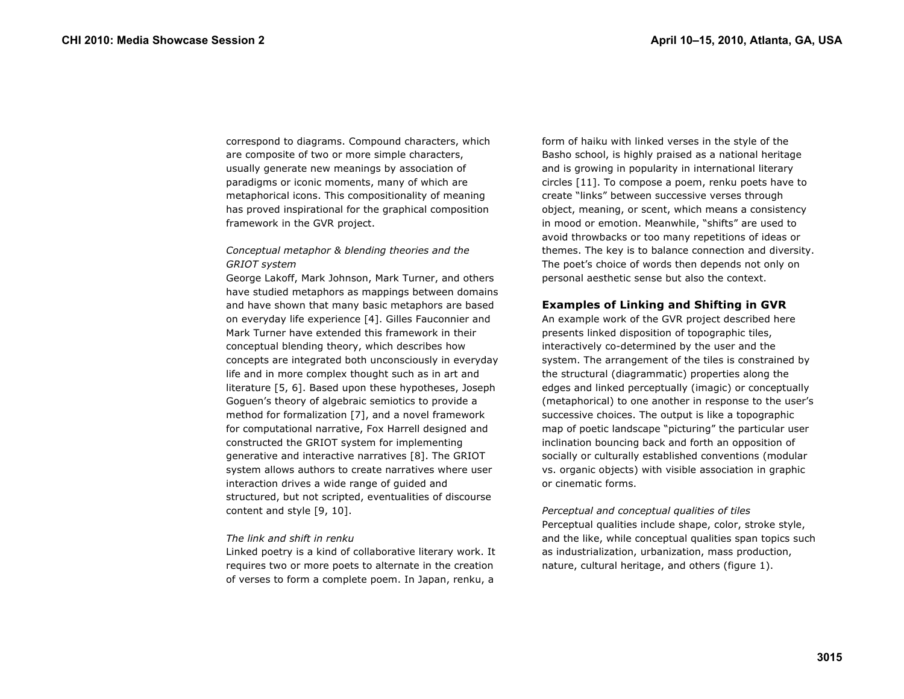correspond to diagrams. Compound characters, which are composite of two or more simple characters, usually generate new meanings by association of paradigms or iconic moments, many of which are metaphorical icons. This compositionality of meaning has proved inspirational for the graphical composition framework in the GVR project.

## *Conceptual metaphor & blending theories and the GRIOT system*

George Lakoff, Mark Johnson, Mark Turner, and others have studied metaphors as mappings between domains and have shown that many basic metaphors are based on everyday life experience [4]. Gilles Fauconnier and Mark Turner have extended this framework in their conceptual blending theory, which describes how concepts are integrated both unconsciously in everyday life and in more complex thought such as in art and literature [5, 6]. Based upon these hypotheses, Joseph Goguen's theory of algebraic semiotics to provide a method for formalization [7], and a novel framework for computational narrative, Fox Harrell designed and constructed the GRIOT system for implementing generative and interactive narratives [8]. The GRIOT system allows authors to create narratives where user interaction drives a wide range of guided and structured, but not scripted, eventualities of discourse content and style [9, 10].

#### *The link and shift in renku*

Linked poetry is a kind of collaborative literary work. It requires two or more poets to alternate in the creation of verses to form a complete poem. In Japan, renku, a

form of haiku with linked verses in the style of the Basho school, is highly praised as a national heritage and is growing in popularity in international literary circles [11]. To compose a poem, renku poets have to create "links" between successive verses through object, meaning, or scent, which means a consistency in mood or emotion. Meanwhile, "shifts" are used to avoid throwbacks or too many repetitions of ideas or themes. The key is to balance connection and diversity. The poet's choice of words then depends not only on personal aesthetic sense but also the context.

## **Examples of Linking and Shifting in GVR**

An example work of the GVR project described here presents linked disposition of topographic tiles, interactively co-determined by the user and the system. The arrangement of the tiles is constrained by the structural (diagrammatic) properties along the edges and linked perceptually (imagic) or conceptually (metaphorical) to one another in response to the user's successive choices. The output is like a topographic map of poetic landscape "picturing" the particular user inclination bouncing back and forth an opposition of socially or culturally established conventions (modular vs. organic objects) with visible association in graphic or cinematic forms.

*Perceptual and conceptual qualities of tiles* Perceptual qualities include shape, color, stroke style, and the like, while conceptual qualities span topics such as industrialization, urbanization, mass production, nature, cultural heritage, and others (figure 1).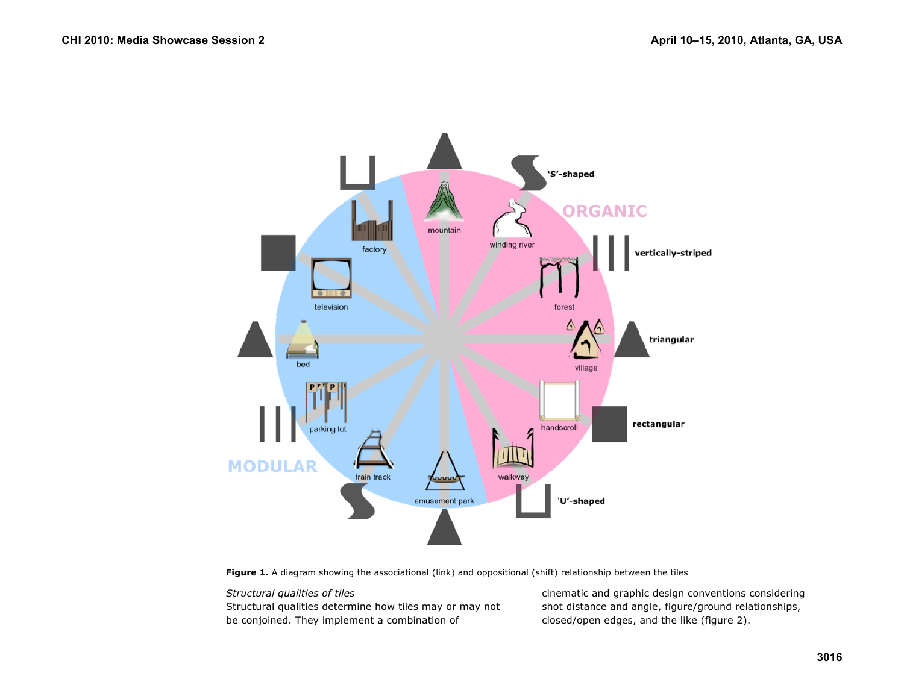

**Figure 1.** A diagram showing the associational (link) and oppositional (shift) relationship between the tiles

## *Structural qualities of tiles*

Structural qualities determine how tiles may or may not be conjoined. They implement a combination of

cinematic and graphic design conventions considering shot distance and angle, figure/ground relationships, closed/open edges, and the like (figure 2).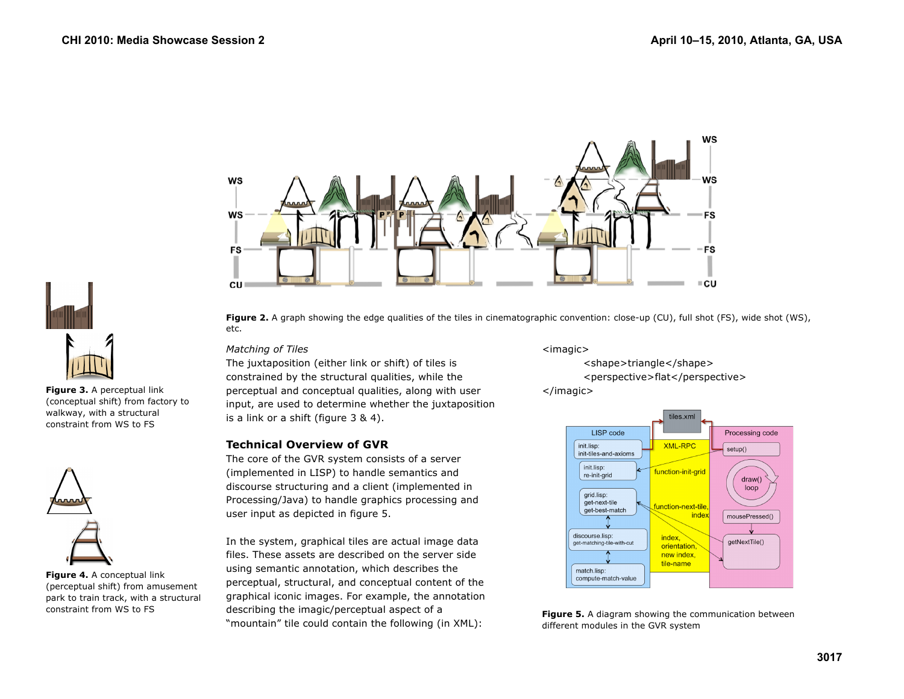



**Figure 3.** A perceptual link (conceptual shift) from factory to walkway, with a structural constraint from WS to FS



**Figure 4.** A conceptual link (perceptual shift) from amusement park to train track, with a structural constraint from WS to FS

Figure 2. A graph showing the edge qualities of the tiles in cinematographic convention: close-up (CU), full shot (FS), wide shot (WS), etc.

## *Matching of Tiles*

The juxtaposition (either link or shift) of tiles is constrained by the structural qualities, while the perceptual and conceptual qualities, along with user input, are used to determine whether the juxtaposition is a link or a shift (figure 3 & 4).

## **Technical Overview of GVR**

The core of the GVR system consists of a server (implemented in LISP) to handle semantics and discourse structuring and a client (implemented in Processing/Java) to handle graphics processing and user input as depicted in figure 5.

In the system, graphical tiles are actual image data files. These assets are described on the server side using semantic annotation, which describes the perceptual, structural, and conceptual content of the graphical iconic images. For example, the annotation describing the imagic/perceptual aspect of a "mountain" tile could contain the following (in XML):

<imagic>

<shape>triangle</shape> <perspective>flat</perspective> </imagic>